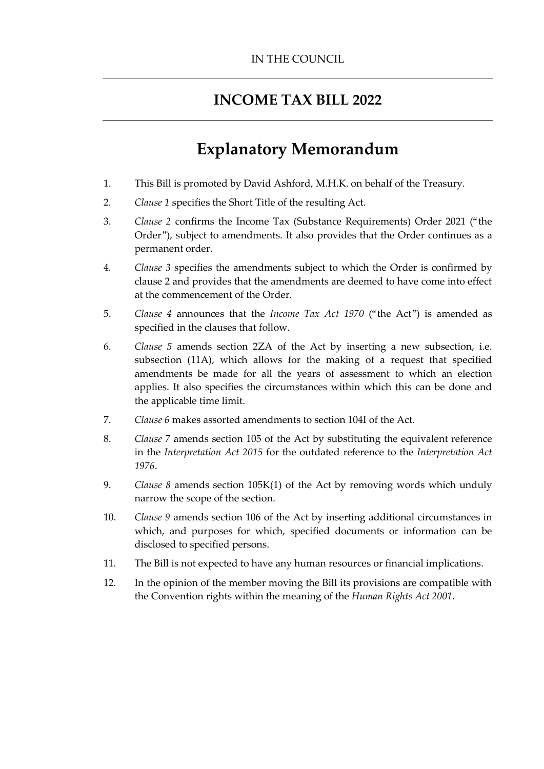## **INCOME TAX BILL 2022**

## **Explanatory Memorandum**

- 1. This Bill is promoted by David Ashford, M.H.K. on behalf of the Treasury.
- 2. *Clause 1* specifies the Short Title of the resulting Act.
- 3. *Clause 2* confirms the Income Tax (Substance Requirements) Order 2021 ("the Order"), subject to amendments. It also provides that the Order continues as a permanent order.
- 4. *Clause 3* specifies the amendments subject to which the Order is confirmed by clause 2 and provides that the amendments are deemed to have come into effect at the commencement of the Order.
- 5. *Clause 4* announces that the *Income Tax Act 1970* ("the Act") is amended as specified in the clauses that follow.
- 6. *Clause 5* amends section 2ZA of the Act by inserting a new subsection, i.e. subsection (11A), which allows for the making of a request that specified amendments be made for all the years of assessment to which an election applies. It also specifies the circumstances within which this can be done and the applicable time limit.
- 7. *Clause 6* makes assorted amendments to section 104I of the Act.
- 8. *Clause 7* amends section 105 of the Act by substituting the equivalent reference in the *Interpretation Act 2015* for the outdated reference to the *Interpretation Act 1976*.
- 9. *Clause 8* amends section 105K(1) of the Act by removing words which unduly narrow the scope of the section.
- 10. *Clause 9* amends section 106 of the Act by inserting additional circumstances in which, and purposes for which, specified documents or information can be disclosed to specified persons.
- 11. The Bill is not expected to have any human resources or financial implications.
- 12. In the opinion of the member moving the Bill its provisions are compatible with the Convention rights within the meaning of the *Human Rights Act 2001*.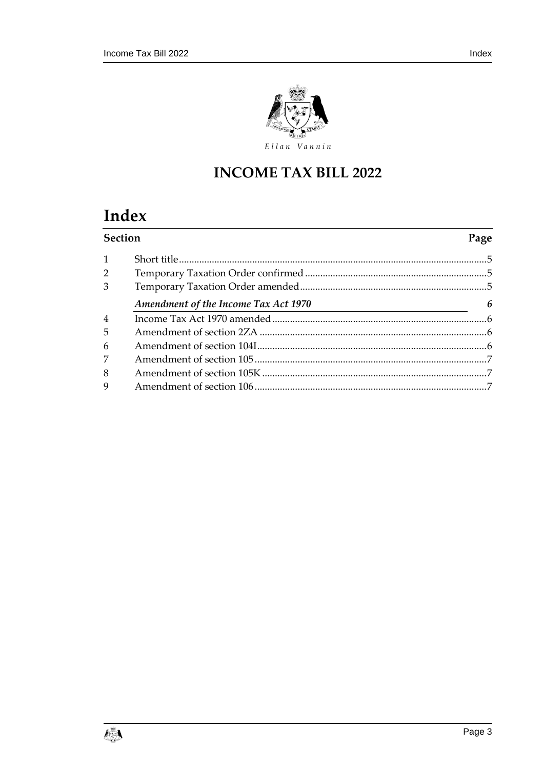

## **INCOME TAX BILL 2022**

# Index

| <b>Section</b> |                                      |   |
|----------------|--------------------------------------|---|
| $\mathbf{1}$   |                                      |   |
| 2              |                                      |   |
| 3              |                                      |   |
|                | Amendment of the Income Tax Act 1970 | 6 |
| $\overline{4}$ |                                      |   |
| 5              |                                      |   |
| 6              |                                      |   |
| 7              |                                      |   |
| 8              |                                      |   |
| 9              |                                      |   |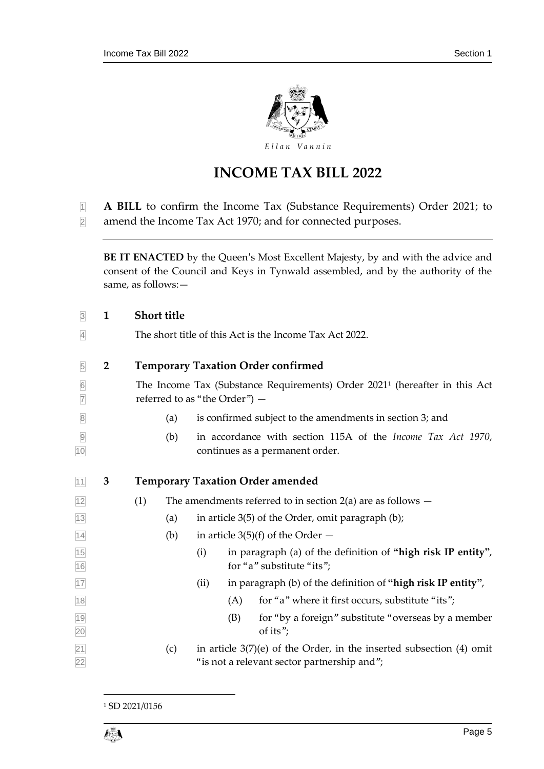

## **INCOME TAX BILL 2022**

- **A BILL** to confirm the Income Tax (Substance Requirements) Order 2021; to
- amend the Income Tax Act 1970; and for connected purposes.

**BE IT ENACTED** by the Queen's Most Excellent Majesty, by and with the advice and consent of the Council and Keys in Tynwald assembled, and by the authority of the same, as follows:—

<span id="page-4-2"></span><span id="page-4-1"></span><span id="page-4-0"></span>

| $\overline{\mathbf{3}}$ | $\mathbf{1}$   | <b>Short title</b>                                                                                                           |  |  |  |  |
|-------------------------|----------------|------------------------------------------------------------------------------------------------------------------------------|--|--|--|--|
| $\overline{4}$          |                | The short title of this Act is the Income Tax Act 2022.                                                                      |  |  |  |  |
| $\overline{5}$          | $\overline{2}$ | <b>Temporary Taxation Order confirmed</b>                                                                                    |  |  |  |  |
| $6\,$<br>$\overline{7}$ |                | The Income Tax (Substance Requirements) Order 2021 <sup>1</sup> (hereafter in this Act<br>referred to as "the Order") -      |  |  |  |  |
| $\mathbf{8}$            |                | is confirmed subject to the amendments in section 3; and<br>(a)                                                              |  |  |  |  |
| $\overline{9}$<br>10    |                | in accordance with section 115A of the <i>Income Tax Act 1970</i> ,<br>(b)<br>continues as a permanent order.                |  |  |  |  |
| $11$                    | 3              | <b>Temporary Taxation Order amended</b>                                                                                      |  |  |  |  |
| 12                      |                | (1)<br>The amendments referred to in section $2(a)$ are as follows $-$                                                       |  |  |  |  |
| 13                      |                | in article 3(5) of the Order, omit paragraph (b);<br>(a)                                                                     |  |  |  |  |
| 14                      |                | (b)<br>in article $3(5)(f)$ of the Order $-$                                                                                 |  |  |  |  |
| 15<br>16                |                | (i)<br>in paragraph (a) of the definition of "high risk IP entity",<br>for "a" substitute "its";                             |  |  |  |  |
| 17                      |                | in paragraph (b) of the definition of "high risk IP entity",<br>(ii)                                                         |  |  |  |  |
| 18                      |                | for "a" where it first occurs, substitute "its";<br>(A)                                                                      |  |  |  |  |
| $\frac{19}{20}$         |                | for "by a foreign" substitute "overseas by a member<br>(B)<br>of its";                                                       |  |  |  |  |
| $\frac{21}{22}$         |                | in article $3(7)(e)$ of the Order, in the inserted subsection (4) omit<br>(c)<br>"is not a relevant sector partnership and"; |  |  |  |  |

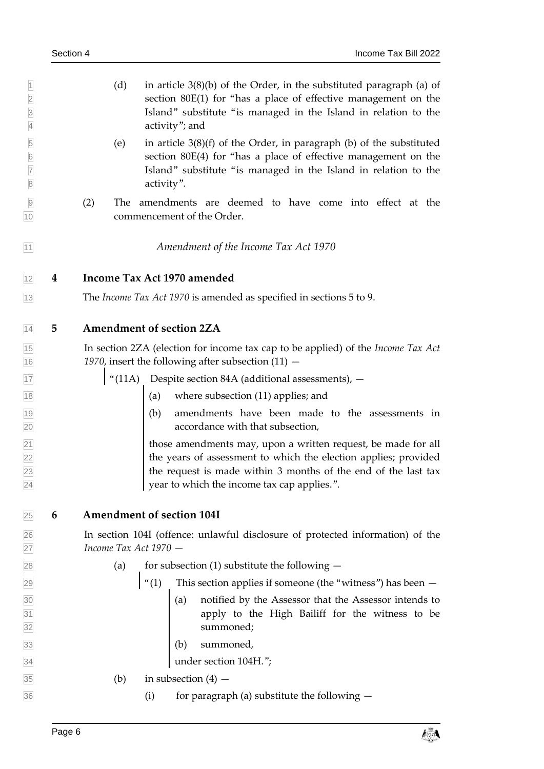<span id="page-5-3"></span><span id="page-5-2"></span><span id="page-5-1"></span><span id="page-5-0"></span>

| $\vert$ 1<br>$\overline{2}$<br>$\overline{3}$<br>$\overline{4}$ |   | (d)<br>in article $3(8)(b)$ of the Order, in the substituted paragraph (a) of<br>section 80E(1) for "has a place of effective management on the<br>Island" substitute "is managed in the Island in relation to the<br>activity"; and              |  |  |  |  |  |  |
|-----------------------------------------------------------------|---|---------------------------------------------------------------------------------------------------------------------------------------------------------------------------------------------------------------------------------------------------|--|--|--|--|--|--|
| $\frac{5}{6}$<br>$\overline{7}$<br>$\overline{8}$               |   | in article $3(8)(f)$ of the Order, in paragraph (b) of the substituted<br>(e)<br>section 80E(4) for "has a place of effective management on the<br>Island" substitute "is managed in the Island in relation to the<br>activity".                  |  |  |  |  |  |  |
| $\overline{9}$<br>10                                            |   | (2)<br>amendments are deemed to have come into effect at the<br>The<br>commencement of the Order.                                                                                                                                                 |  |  |  |  |  |  |
| 11                                                              |   | Amendment of the Income Tax Act 1970                                                                                                                                                                                                              |  |  |  |  |  |  |
| 12                                                              | 4 | Income Tax Act 1970 amended                                                                                                                                                                                                                       |  |  |  |  |  |  |
| $13$                                                            |   | The <i>Income Tax Act 1970</i> is amended as specified in sections 5 to 9.                                                                                                                                                                        |  |  |  |  |  |  |
| 14                                                              | 5 | <b>Amendment of section 2ZA</b>                                                                                                                                                                                                                   |  |  |  |  |  |  |
| $\frac{15}{16}$                                                 |   | In section 2ZA (election for income tax cap to be applied) of the Income Tax Act<br>1970, insert the following after subsection $(11)$ -                                                                                                          |  |  |  |  |  |  |
| 17                                                              |   | "(11A) Despite section 84A (additional assessments), $-$                                                                                                                                                                                          |  |  |  |  |  |  |
| 18                                                              |   | (a) where subsection (11) applies; and                                                                                                                                                                                                            |  |  |  |  |  |  |
| 19<br>20                                                        |   | (b) amendments have been made to the assessments in<br>accordance with that subsection,                                                                                                                                                           |  |  |  |  |  |  |
| $\frac{21}{22}$ $\frac{22}{23}$<br>24                           |   | those amendments may, upon a written request, be made for all<br>the years of assessment to which the election applies; provided<br>the request is made within 3 months of the end of the last tax<br>year to which the income tax cap applies.". |  |  |  |  |  |  |
| 25                                                              | 6 | Amendment of section 104I                                                                                                                                                                                                                         |  |  |  |  |  |  |
| $\frac{26}{27}$                                                 |   | In section 104I (offence: unlawful disclosure of protected information) of the<br>Income Tax Act 1970 -                                                                                                                                           |  |  |  |  |  |  |
| 28                                                              |   | for subsection $(1)$ substitute the following $-$<br>(a)                                                                                                                                                                                          |  |  |  |  |  |  |
| 29                                                              |   | $\vert$ "(1) This section applies if someone (the "witness") has been $-$                                                                                                                                                                         |  |  |  |  |  |  |
| $\frac{30}{31}$ $\frac{31}{32}$                                 |   | (a) notified by the Assessor that the Assessor intends to<br>apply to the High Bailiff for the witness to be summoned;                                                                                                                            |  |  |  |  |  |  |
| 33                                                              |   | summoned,<br>(b)                                                                                                                                                                                                                                  |  |  |  |  |  |  |
| $\overline{34}$                                                 |   | under section 104H.";                                                                                                                                                                                                                             |  |  |  |  |  |  |
| 35                                                              |   | in subsection $(4)$ –<br>(b)                                                                                                                                                                                                                      |  |  |  |  |  |  |
| 36                                                              |   | for paragraph (a) substitute the following $-$<br>(i)                                                                                                                                                                                             |  |  |  |  |  |  |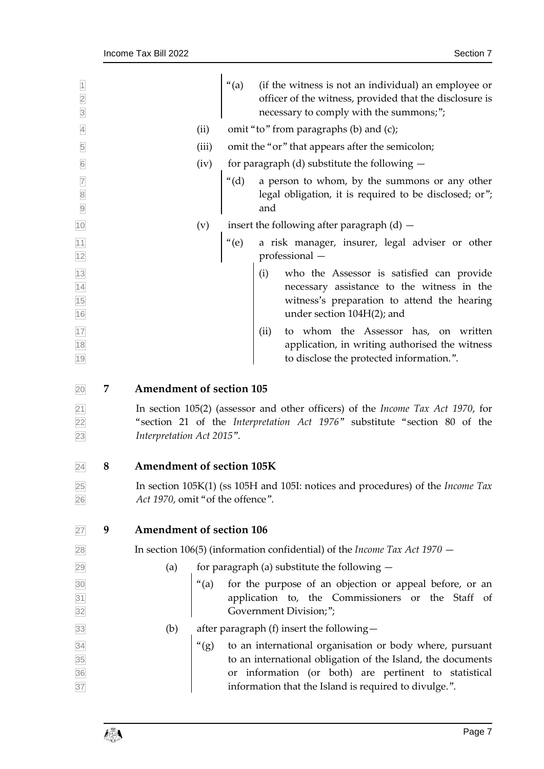<span id="page-6-0"></span>

| $\overline{1}$<br>$\frac{2}{3}$                                         |   |                                                                                                                            | (a)                                             | (if the witness is not an individual) an employee or<br>officer of the witness, provided that the disclosure is<br>necessary to comply with the summons;";                                                                                                                                                                                                        |  |
|-------------------------------------------------------------------------|---|----------------------------------------------------------------------------------------------------------------------------|-------------------------------------------------|-------------------------------------------------------------------------------------------------------------------------------------------------------------------------------------------------------------------------------------------------------------------------------------------------------------------------------------------------------------------|--|
| $\overline{4}$                                                          |   | (ii)                                                                                                                       | omit "to" from paragraphs (b) and (c);          |                                                                                                                                                                                                                                                                                                                                                                   |  |
| $\overline{5}$                                                          |   | (iii)                                                                                                                      | omit the "or" that appears after the semicolon; |                                                                                                                                                                                                                                                                                                                                                                   |  |
| $6\overline{6}$                                                         |   | for paragraph (d) substitute the following $-$<br>(iv)                                                                     |                                                 |                                                                                                                                                                                                                                                                                                                                                                   |  |
| $\begin{array}{c c} \hline 7 & 8 \\ \hline 8 & 9 \\ \hline \end{array}$ |   |                                                                                                                            | $"(\mathrm{d})$                                 | a person to whom, by the summons or any other<br>legal obligation, it is required to be disclosed; or";<br>and                                                                                                                                                                                                                                                    |  |
| 10                                                                      |   | (v)                                                                                                                        |                                                 | insert the following after paragraph $(d)$ –                                                                                                                                                                                                                                                                                                                      |  |
| 11<br>12                                                                |   |                                                                                                                            | $"$ (e)                                         | a risk manager, insurer, legal adviser or other<br>professional -                                                                                                                                                                                                                                                                                                 |  |
| $\frac{13}{14}$<br>$\frac{14}{15}$<br>$\frac{15}{16}$                   |   |                                                                                                                            |                                                 | (i)<br>who the Assessor is satisfied can provide<br>necessary assistance to the witness in the<br>witness's preparation to attend the hearing<br>under section 104H(2); and                                                                                                                                                                                       |  |
| $\frac{17}{18}$<br>19                                                   |   |                                                                                                                            |                                                 | (ii) to whom the Assessor has, on written<br>application, in writing authorised the witness<br>to disclose the protected information.".                                                                                                                                                                                                                           |  |
| 20                                                                      | 7 | <b>Amendment of section 105</b>                                                                                            |                                                 |                                                                                                                                                                                                                                                                                                                                                                   |  |
| $\frac{21}{22}$<br>$\frac{23}{23}$                                      |   | Interpretation Act 2015".                                                                                                  |                                                 | In section $105(2)$ (assessor and other officers) of the <i>Income Tax Act 1970</i> , for<br>"section 21 of the Interpretation Act 1976" substitute "section 80 of the                                                                                                                                                                                            |  |
| 24                                                                      | 8 | Amendment of section 105K                                                                                                  |                                                 |                                                                                                                                                                                                                                                                                                                                                                   |  |
| 25<br>26                                                                |   | In section 105K(1) (ss 105H and 105I: notices and procedures) of the <i>Income Tax</i><br>Act 1970, omit "of the offence". |                                                 |                                                                                                                                                                                                                                                                                                                                                                   |  |
| 27                                                                      | 9 | <b>Amendment of section 106</b>                                                                                            |                                                 |                                                                                                                                                                                                                                                                                                                                                                   |  |
| 28                                                                      |   | In section 106(5) (information confidential) of the <i>Income Tax Act</i> 1970 $-$                                         |                                                 |                                                                                                                                                                                                                                                                                                                                                                   |  |
| 29                                                                      |   | (a)                                                                                                                        |                                                 | for paragraph (a) substitute the following $-$                                                                                                                                                                                                                                                                                                                    |  |
| 30<br>$\frac{31}{32}$                                                   |   |                                                                                                                            |                                                 | "(a) for the purpose of an objection or appeal before, or an application to, the Commissioners or the Staff of Government Division;";                                                                                                                                                                                                                             |  |
| 33                                                                      |   | (b)                                                                                                                        |                                                 | after paragraph (f) insert the following-                                                                                                                                                                                                                                                                                                                         |  |
| $\frac{34}{35}$ $\frac{35}{37}$                                         |   |                                                                                                                            |                                                 | $(9)$ to an international organisation or body where, pursuant to an international obligation of the Island, the documents or information (or both) are pertinent to statistical<br>to an international obligation of the Island, the documents<br>or information (or both) are pertinent to statistical<br>information that the Island is required to divulge.". |  |

<span id="page-6-2"></span><span id="page-6-1"></span>